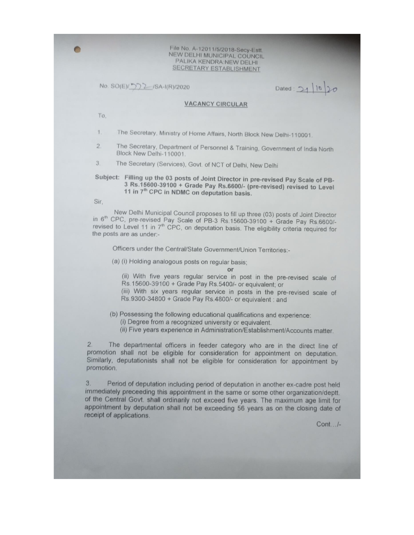File No. A-12011/5/2018-Secy-Estt. NEW DELHI MUNICIPAL COUNCIL PALIKA KENDRA:NEW DELHI SECRETARY ESTABLISHMENT

No. SO(E)/ 57 2 / SA-I(R)/2020

 $1020$ Dated: 21

## **VACANCY CIRCULAR**

To,

 $\blacksquare$ 

The Secretary, Ministry of Home Affairs, North Block New Delhi-110001.  $1.$ 

 $2.$ The Secretary, Department of Personnel & Training, Government of India North Block New Delhi-110001.

3. The Secretary (Services), Govt. of NCT of Delhi, New Delhi

Subject: Filling up the 03 posts of Joint Director in pre-revised Pay Scale of PB-3 Rs.15600-39100 + Grade Pay Rs.6600/- (pre-revised) revised to Level 11 in 7<sup>th</sup> CPC in NDMC on deputation basis.

Sir,

New Delhi Municipal Council proposes to fill up three (03) posts of Joint Director in 6th CPC, pre-revised Pay Scale of PB-3 Rs.15600-39100 + Grade Pay Rs.6600/revised to Level 11 in 7<sup>th</sup> CPC, on deputation basis. The eligibility criteria required for the posts are as under:-

Officers under the Central/State Government/Union Territories:-

(a) (i) Holding analogous posts on regular basis;

or

(ii) With five years regular service in post in the pre-revised scale of Rs. 15600-39100 + Grade Pay Rs. 5400/- or equivalent; or

(iii) With six years regular service in posts in the pre-revised scale of Rs.9300-34800 + Grade Pay Rs.4800/- or equivalent : and

(b) Possessing the following educational qualifications and experience:

(i) Degree from a recognized university or equivalent.

(ii) Five years experience in Administration/Establishment/Accounts matter.

 $2.$ The departmental officers in feeder category who are in the direct line of promotion shall not be eligible for consideration for appointment on deputation. Similarly, deputationists shall not be eligible for consideration for appointment by promotion.

3. Period of deputation including period of deputation in another ex-cadre post held immediately preceeding this appointment in the same or some other organization/deptt. of the Central Govt. shall ordinarily not exceed five years. The maximum age limit for appointment by deputation shall not be exceeding 56 years as on the closing date of receipt of applications.

 $Cont. . . / -$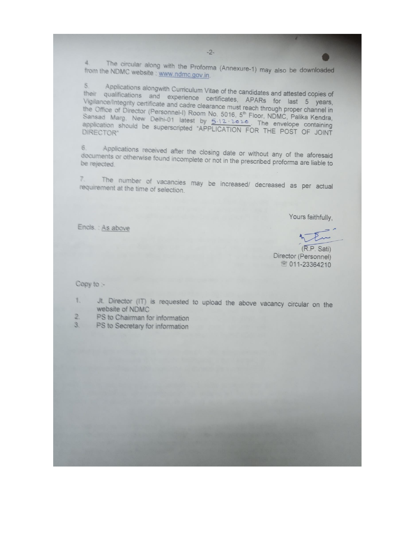$\ddot{a}$ The circular along with the Proforma (Annexure-1) may also be downloaded from the NDMC website : www.ndmc.gov.in.

Applications alongwith Curriculum Vitae of the candidates and attested copies of  $5.$ their qualifications and experience certificates, APARs for last 5 years, Vigilance/Integrity certificate and cadre clearance must reach through proper channel in the Office of Director (Personnel-I) Room No. 5016, 5<sup>th</sup> Floor, NDMC, Palika Kendra, Sansad Marg, New Delhi-01 latest by 5-12-2020. The envelope containing application should be superscripted "APPLICATION FOR THE POST OF JOINT

Applications received after the closing date or without any of the aforesaid 6. documents or otherwise found incomplete or not in the prescribed proforma are liable to

 $7.$ The number of vacancies may be increased/ decreased as per actual requirement at the time of selection.

Yours faithfully.

Encls.: As above

(R.P. Sati) Director (Personnel) ■ 011-23364210

Copy to :-

Jt. Director (IT) is requested to upload the above vacancy circular on the  $\overline{\mathfrak{g}}_{\infty}$ website of NDMC

- $\overline{2}$ PS to Chairman for information
- 3. PS to Secretary for information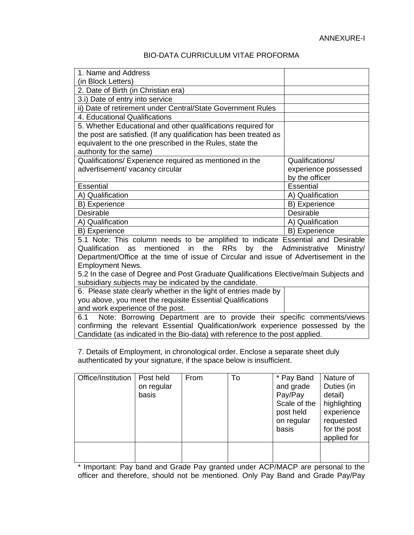## BIO-DATA CURRICULUM VITAE PROFORMA

| 1. Name and Address                                                                                                                                              |                             |
|------------------------------------------------------------------------------------------------------------------------------------------------------------------|-----------------------------|
| (in Block Letters)                                                                                                                                               |                             |
| 2. Date of Birth (in Christian era)                                                                                                                              |                             |
| 3.i) Date of entry into service                                                                                                                                  |                             |
| ii) Date of retirement under Central/State Government Rules                                                                                                      |                             |
| 4. Educational Qualifications                                                                                                                                    |                             |
| 5. Whether Educational and other qualifications required for                                                                                                     |                             |
| the post are satisfied. (If any qualification has been treated as                                                                                                |                             |
| equivalent to the one prescribed in the Rules, state the                                                                                                         |                             |
| authority for the same)                                                                                                                                          |                             |
| Qualifications/ Experience required as mentioned in the                                                                                                          | Qualifications/             |
| advertisement/ vacancy circular                                                                                                                                  | experience possessed        |
|                                                                                                                                                                  | by the officer              |
| <b>Essential</b>                                                                                                                                                 | <b>Essential</b>            |
| A) Qualification                                                                                                                                                 | A) Qualification            |
| B) Experience                                                                                                                                                    | B) Experience               |
| <b>Desirable</b>                                                                                                                                                 | Desirable                   |
| A) Qualification                                                                                                                                                 | A) Qualification            |
| B) Experience                                                                                                                                                    | B) Experience               |
| 5.1 Note: This column needs to be amplified to indicate Essential and Desirable                                                                                  |                             |
| Qualification<br>mentioned<br>the<br>RRs<br>by<br>the<br>in<br>as                                                                                                | Administrative<br>Ministry/ |
| Department/Office at the time of issue of Circular and issue of Advertisement in the                                                                             |                             |
| <b>Employment News.</b>                                                                                                                                          |                             |
| 5.2 In the case of Degree and Post Graduate Qualifications Elective/main Subjects and                                                                            |                             |
| subsidiary subjects may be indicated by the candidate.                                                                                                           |                             |
| 6. Please state clearly whether in the light of entries made by                                                                                                  |                             |
| you above, you meet the requisite Essential Qualifications                                                                                                       |                             |
| and work experience of the post.                                                                                                                                 |                             |
| Note: Borrowing Department are to provide their specific comments/views<br>6.1                                                                                   |                             |
| confirming the relevant Essential Qualification/work experience possessed by the<br>Candidate (as indicated in the Bio-data) with reference to the post applied. |                             |
|                                                                                                                                                                  |                             |
|                                                                                                                                                                  |                             |

7. Details of Employment, in chronological order. Enclose a separate sheet duly authenticated by your signature, if the space below is insufficient.

| Office/Institution | Post held<br>on regular<br>basis | From | To | * Pay Band<br>and grade<br>Pay/Pay<br>Scale of the<br>post held<br>on regular<br>basis | Nature of<br>Duties (in<br>detail)<br>highlighting<br>experience<br>requested<br>for the post<br>applied for |
|--------------------|----------------------------------|------|----|----------------------------------------------------------------------------------------|--------------------------------------------------------------------------------------------------------------|
|                    |                                  |      |    |                                                                                        |                                                                                                              |

\* Important: Pay band and Grade Pay granted under ACP/MACP are personal to the officer and therefore, should not be mentioned. Only Pay Band and Grade Pay/Pay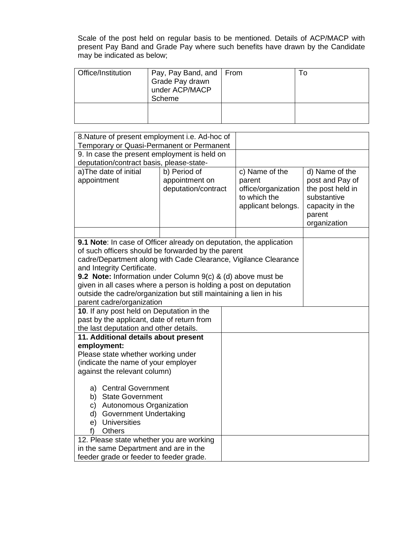Scale of the post held on regular basis to be mentioned. Details of ACP/MACP with present Pay Band and Grade Pay where such benefits have drawn by the Candidate may be indicated as below;

| Office/Institution | Pay, Pay Band, and   From<br>Grade Pay drawn<br>under ACP/MACP<br>Scheme | ı c |
|--------------------|--------------------------------------------------------------------------|-----|
|                    |                                                                          |     |

| 8. Nature of present employment i.e. Ad-hoc of<br>Temporary or Quasi-Permanent or Permanent                                      |                                                       |  |                                                 |                                                          |
|----------------------------------------------------------------------------------------------------------------------------------|-------------------------------------------------------|--|-------------------------------------------------|----------------------------------------------------------|
|                                                                                                                                  | 9. In case the present employment is held on          |  |                                                 |                                                          |
|                                                                                                                                  | deputation/contract basis, please-state-              |  |                                                 |                                                          |
| a) The date of initial<br>appointment                                                                                            | b) Period of<br>appointment on<br>deputation/contract |  | c) Name of the<br>parent<br>office/organization | d) Name of the<br>post and Pay of<br>the post held in    |
|                                                                                                                                  |                                                       |  | to which the<br>applicant belongs.              | substantive<br>capacity in the<br>parent<br>organization |
|                                                                                                                                  |                                                       |  |                                                 |                                                          |
| 9.1 Note: In case of Officer already on deputation, the application                                                              |                                                       |  |                                                 |                                                          |
| of such officers should be forwarded by the parent                                                                               |                                                       |  |                                                 |                                                          |
| cadre/Department along with Cade Clearance, Vigilance Clearance                                                                  |                                                       |  |                                                 |                                                          |
| and Integrity Certificate.                                                                                                       |                                                       |  |                                                 |                                                          |
| 9.2 Note: Information under Column 9(c) & (d) above must be<br>given in all cases where a person is holding a post on deputation |                                                       |  |                                                 |                                                          |
| outside the cadre/organization but still maintaining a lien in his                                                               |                                                       |  |                                                 |                                                          |
| parent cadre/organization                                                                                                        |                                                       |  |                                                 |                                                          |
| 10. If any post held on Deputation in the                                                                                        |                                                       |  |                                                 |                                                          |
| past by the applicant, date of return from                                                                                       |                                                       |  |                                                 |                                                          |
| the last deputation and other details.                                                                                           |                                                       |  |                                                 |                                                          |
| 11. Additional details about present                                                                                             |                                                       |  |                                                 |                                                          |
| employment:                                                                                                                      |                                                       |  |                                                 |                                                          |
| Please state whether working under                                                                                               |                                                       |  |                                                 |                                                          |
| (indicate the name of your employer                                                                                              |                                                       |  |                                                 |                                                          |
| against the relevant column)                                                                                                     |                                                       |  |                                                 |                                                          |
| a) Central Government                                                                                                            |                                                       |  |                                                 |                                                          |
| b) State Government                                                                                                              |                                                       |  |                                                 |                                                          |
| c) Autonomous Organization                                                                                                       |                                                       |  |                                                 |                                                          |
| d) Government Undertaking                                                                                                        |                                                       |  |                                                 |                                                          |
| e) Universities                                                                                                                  |                                                       |  |                                                 |                                                          |
| <b>Others</b><br>f)                                                                                                              |                                                       |  |                                                 |                                                          |
| 12. Please state whether you are working                                                                                         |                                                       |  |                                                 |                                                          |
| in the same Department and are in the                                                                                            |                                                       |  |                                                 |                                                          |
| feeder grade or feeder to feeder grade.                                                                                          |                                                       |  |                                                 |                                                          |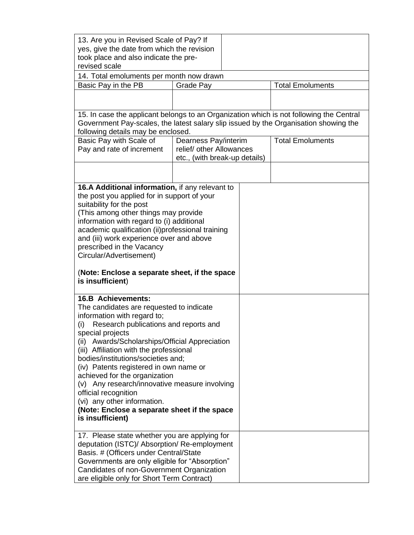| 13. Are you in Revised Scale of Pay? If                                                 |                                                  |  |                         |
|-----------------------------------------------------------------------------------------|--------------------------------------------------|--|-------------------------|
| yes, give the date from which the revision                                              |                                                  |  |                         |
| took place and also indicate the pre-                                                   |                                                  |  |                         |
| revised scale                                                                           |                                                  |  |                         |
| 14. Total emoluments per month now drawn                                                |                                                  |  |                         |
| Basic Pay in the PB                                                                     | <b>Total Emoluments</b><br>Grade Pay             |  |                         |
|                                                                                         |                                                  |  |                         |
|                                                                                         |                                                  |  |                         |
|                                                                                         |                                                  |  |                         |
| 15. In case the applicant belongs to an Organization which is not following the Central |                                                  |  |                         |
| Government Pay-scales, the latest salary slip issued by the Organisation showing the    |                                                  |  |                         |
| following details may be enclosed.                                                      |                                                  |  | <b>Total Emoluments</b> |
| Basic Pay with Scale of<br>Pay and rate of increment                                    | Dearness Pay/interim<br>relief/ other Allowances |  |                         |
|                                                                                         | etc., (with break-up details)                    |  |                         |
|                                                                                         |                                                  |  |                         |
|                                                                                         |                                                  |  |                         |
|                                                                                         |                                                  |  |                         |
| 16.A Additional information, if any relevant to                                         |                                                  |  |                         |
| the post you applied for in support of your                                             |                                                  |  |                         |
| suitability for the post                                                                |                                                  |  |                         |
| (This among other things may provide                                                    |                                                  |  |                         |
| information with regard to (i) additional                                               |                                                  |  |                         |
| academic qualification (ii)professional training                                        |                                                  |  |                         |
| and (iii) work experience over and above                                                |                                                  |  |                         |
| prescribed in the Vacancy                                                               |                                                  |  |                         |
| Circular/Advertisement)                                                                 |                                                  |  |                         |
|                                                                                         |                                                  |  |                         |
| (Note: Enclose a separate sheet, if the space<br>is insufficient)                       |                                                  |  |                         |
|                                                                                         |                                                  |  |                         |
| <b>16.B Achievements:</b>                                                               |                                                  |  |                         |
| The candidates are requested to indicate                                                |                                                  |  |                         |
| information with regard to;                                                             |                                                  |  |                         |
| Research publications and reports and<br>(i)                                            |                                                  |  |                         |
| special projects                                                                        |                                                  |  |                         |
| (ii) Awards/Scholarships/Official Appreciation                                          |                                                  |  |                         |
| (iii) Affiliation with the professional                                                 |                                                  |  |                         |
| bodies/institutions/societies and;                                                      |                                                  |  |                         |
| (iv) Patents registered in own name or                                                  |                                                  |  |                         |
| achieved for the organization                                                           |                                                  |  |                         |
| (v) Any research/innovative measure involving                                           |                                                  |  |                         |
| official recognition                                                                    |                                                  |  |                         |
| (vi) any other information.                                                             |                                                  |  |                         |
| (Note: Enclose a separate sheet if the space                                            |                                                  |  |                         |
| is insufficient)                                                                        |                                                  |  |                         |
|                                                                                         |                                                  |  |                         |
| 17. Please state whether you are applying for                                           |                                                  |  |                         |
| deputation (ISTC)/ Absorption/ Re-employment                                            |                                                  |  |                         |
| Basis. # (Officers under Central/State                                                  |                                                  |  |                         |
| Governments are only eligible for "Absorption"                                          |                                                  |  |                         |
| Candidates of non-Government Organization                                               |                                                  |  |                         |
| are eligible only for Short Term Contract)                                              |                                                  |  |                         |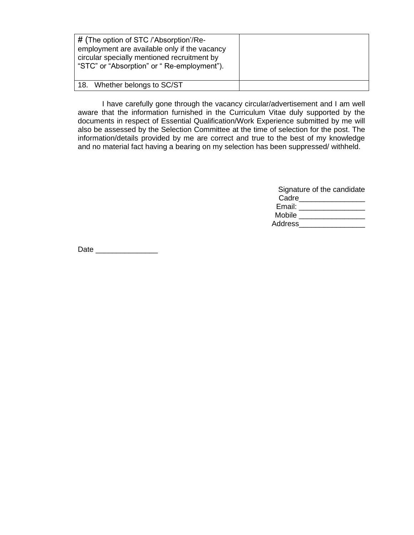| $#$ (The option of STC /'Absorption'/Re-<br>employment are available only if the vacancy<br>circular specially mentioned recruitment by<br>"STC" or "Absorption" or " Re-employment"). |  |
|----------------------------------------------------------------------------------------------------------------------------------------------------------------------------------------|--|
| 18. Whether belongs to SC/ST                                                                                                                                                           |  |

I have carefully gone through the vacancy circular/advertisement and I am well aware that the information furnished in the Curriculum Vitae duly supported by the documents in respect of Essential Qualification/Work Experience submitted by me will also be assessed by the Selection Committee at the time of selection for the post. The information/details provided by me are correct and true to the best of my knowledge and no material fact having a bearing on my selection has been suppressed/ withheld.

|                | Signature of the candidate |
|----------------|----------------------------|
| Cadre          |                            |
| Email:         |                            |
| Mobile         |                            |
| <b>Address</b> |                            |

Date  $\Box$